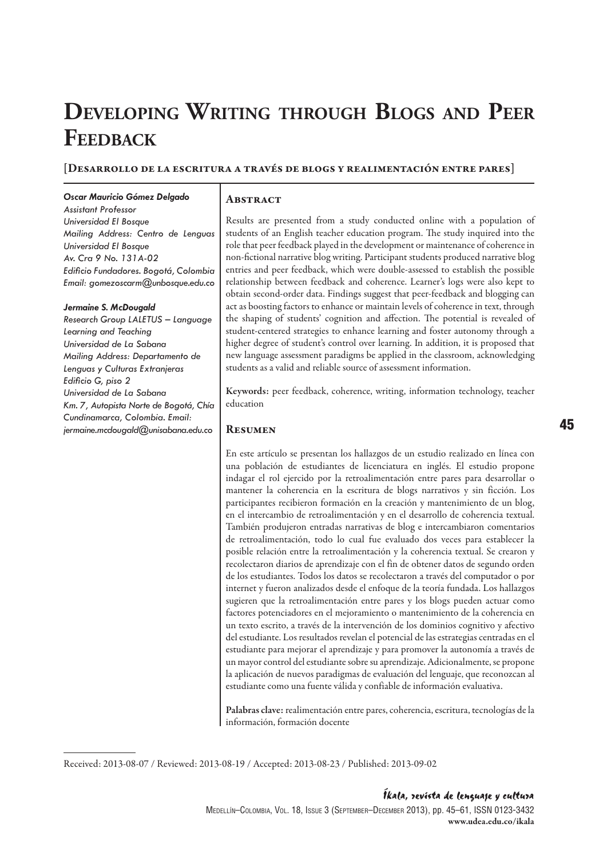# **Developing Writing through Blogs and Peer Feedback**

#### [Desarrollo de la escritura a través de blogs y realimentación entre pares]

#### *Oscar Mauricio Gómez Delgado*

*Assistant Professor Universidad El Bosque Mailing Address: Centro de Lenguas Universidad El Bosque Av. Cra 9 No. 131A-02 Edificio Fundadores. Bogotá, Colombia Email: gomezoscarm@unbosque.edu.co*

#### *Jermaine S. McDougald*

*Research Group LALETUS – Language Learning and Teaching Universidad de La Sabana Mailing Address: Departamento de Lenguas y Culturas Extranjeras Edificio G, piso 2 Universidad de La Sabana Km. 7, Autopista Norte de Bogotá, Chía Cundinamarca, Colombia. Email: jermaine.mcdougald@unisabana.edu.co*

#### **ABSTRACT**

Results are presented from a study conducted online with a population of students of an English teacher education program. The study inquired into the role that peer feedback played in the development or maintenance of coherence in non-fictional narrative blog writing. Participant students produced narrative blog entries and peer feedback, which were double-assessed to establish the possible relationship between feedback and coherence. Learner's logs were also kept to obtain second-order data. Findings suggest that peer-feedback and blogging can act as boosting factors to enhance or maintain levels of coherence in text, through the shaping of students' cognition and affection. The potential is revealed of student-centered strategies to enhance learning and foster autonomy through a higher degree of student's control over learning. In addition, it is proposed that new language assessment paradigms be applied in the classroom, acknowledging students as a valid and reliable source of assessment information.

Keywords: peer feedback, coherence, writing, information technology, teacher education

#### **RESUMEN**

En este artículo se presentan los hallazgos de un estudio realizado en línea con una población de estudiantes de licenciatura en inglés. El estudio propone indagar el rol ejercido por la retroalimentación entre pares para desarrollar o mantener la coherencia en la escritura de blogs narrativos y sin ficción. Los participantes recibieron formación en la creación y mantenimiento de un blog, en el intercambio de retroalimentación y en el desarrollo de coherencia textual. También produjeron entradas narrativas de blog e intercambiaron comentarios de retroalimentación, todo lo cual fue evaluado dos veces para establecer la posible relación entre la retroalimentación y la coherencia textual. Se crearon y recolectaron diarios de aprendizaje con el fin de obtener datos de segundo orden de los estudiantes. Todos los datos se recolectaron a través del computador o por internet y fueron analizados desde el enfoque de la teoría fundada. Los hallazgos sugieren que la retroalimentación entre pares y los blogs pueden actuar como factores potenciadores en el mejoramiento o mantenimiento de la coherencia en un texto escrito, a través de la intervención de los dominios cognitivo y afectivo del estudiante. Los resultados revelan el potencial de las estrategias centradas en el estudiante para mejorar el aprendizaje y para promover la autonomía a través de un mayor control del estudiante sobre su aprendizaje. Adicionalmente, se propone la aplicación de nuevos paradigmas de evaluación del lenguaje, que reconozcan al estudiante como una fuente válida y confiable de información evaluativa.

Palabras clave: realimentación entre pares, coherencia, escritura, tecnologías de la información, formación docente

Received: 2013-08-07 / Reviewed: 2013-08-19 / Accepted: 2013-08-23 / Published: 2013-09-02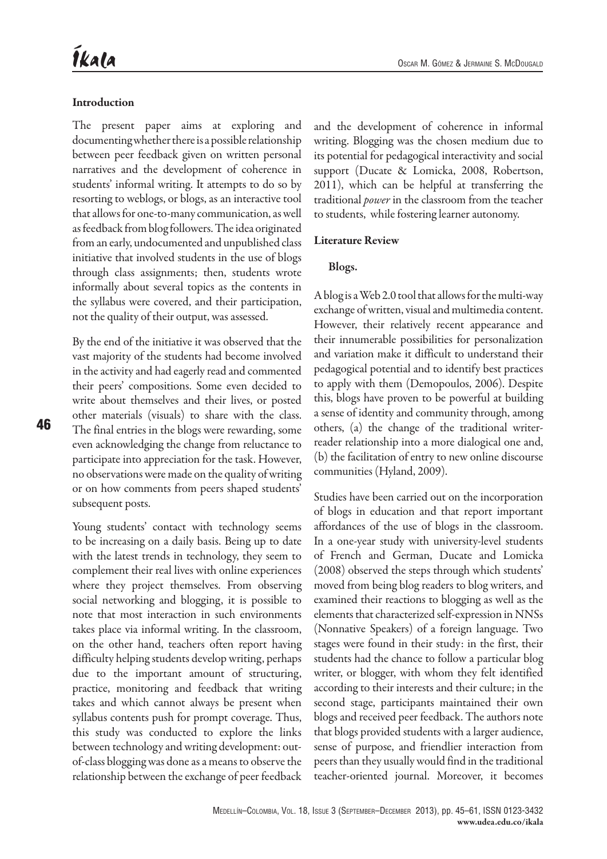## **Introduction**

The present paper aims at exploring and documenting whether there is a possible relationship between peer feedback given on written personal narratives and the development of coherence in students' informal writing. It attempts to do so by resorting to weblogs, or blogs, as an interactive tool that allows for one-to-many communication, as well as feedback from blog followers. The idea originated from an early, undocumented and unpublished class initiative that involved students in the use of blogs through class assignments; then, students wrote informally about several topics as the contents in the syllabus were covered, and their participation, not the quality of their output, was assessed.

By the end of the initiative it was observed that the vast majority of the students had become involved in the activity and had eagerly read and commented their peers' compositions. Some even decided to write about themselves and their lives, or posted other materials (visuals) to share with the class. The final entries in the blogs were rewarding, some even acknowledging the change from reluctance to participate into appreciation for the task. However, no observations were made on the quality of writing or on how comments from peers shaped students' subsequent posts.

Young students' contact with technology seems to be increasing on a daily basis. Being up to date with the latest trends in technology, they seem to complement their real lives with online experiences where they project themselves. From observing social networking and blogging, it is possible to note that most interaction in such environments takes place via informal writing. In the classroom, on the other hand, teachers often report having difficulty helping students develop writing, perhaps due to the important amount of structuring, practice, monitoring and feedback that writing takes and which cannot always be present when syllabus contents push for prompt coverage. Thus, this study was conducted to explore the links between technology and writing development: outof-class blogging was done as a means to observe the relationship between the exchange of peer feedback

and the development of coherence in informal writing. Blogging was the chosen medium due to its potential for pedagogical interactivity and social support (Ducate & Lomicka, 2008, Robertson, 2011), which can be helpful at transferring the traditional *power* in the classroom from the teacher to students, while fostering learner autonomy.

## Literature Review

## Blogs.

A blog is a Web 2.0 tool that allows for the multi-way exchange of written, visual and multimedia content. However, their relatively recent appearance and their innumerable possibilities for personalization and variation make it difficult to understand their pedagogical potential and to identify best practices to apply with them (Demopoulos, 2006). Despite this, blogs have proven to be powerful at building a sense of identity and community through, among others, (a) the change of the traditional writerreader relationship into a more dialogical one and, (b) the facilitation of entry to new online discourse communities (Hyland, 2009).

Studies have been carried out on the incorporation of blogs in education and that report important affordances of the use of blogs in the classroom. In a one-year study with university-level students of French and German, Ducate and Lomicka (2008) observed the steps through which students' moved from being blog readers to blog writers, and examined their reactions to blogging as well as the elements that characterized self-expression in NNSs (Nonnative Speakers) of a foreign language. Two stages were found in their study: in the first, their students had the chance to follow a particular blog writer, or blogger, with whom they felt identified according to their interests and their culture; in the second stage, participants maintained their own blogs and received peer feedback. The authors note that blogs provided students with a larger audience, sense of purpose, and friendlier interaction from peers than they usually would find in the traditional teacher-oriented journal. Moreover, it becomes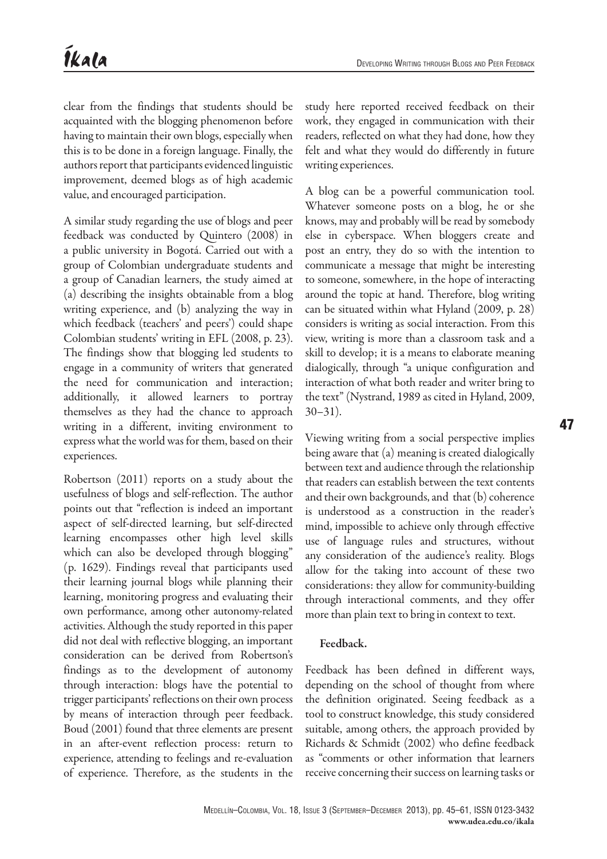clear from the findings that students should be acquainted with the blogging phenomenon before having to maintain their own blogs, especially when this is to be done in a foreign language. Finally, the authors report that participants evidenced linguistic improvement, deemed blogs as of high academic value, and encouraged participation.

A similar study regarding the use of blogs and peer feedback was conducted by Quintero (2008) in a public university in Bogotá. Carried out with a group of Colombian undergraduate students and a group of Canadian learners, the study aimed at (a) describing the insights obtainable from a blog writing experience, and (b) analyzing the way in which feedback (teachers' and peers') could shape Colombian students' writing in EFL (2008, p. 23). The findings show that blogging led students to engage in a community of writers that generated the need for communication and interaction; additionally, it allowed learners to portray themselves as they had the chance to approach writing in a different, inviting environment to express what the world was for them, based on their experiences.

Robertson (2011) reports on a study about the usefulness of blogs and self-reflection. The author points out that "reflection is indeed an important aspect of self-directed learning, but self-directed learning encompasses other high level skills which can also be developed through blogging" (p. 1629). Findings reveal that participants used their learning journal blogs while planning their learning, monitoring progress and evaluating their own performance, among other autonomy-related activities. Although the study reported in this paper did not deal with reflective blogging, an important consideration can be derived from Robertson's findings as to the development of autonomy through interaction: blogs have the potential to trigger participants' reflections on their own process by means of interaction through peer feedback. Boud (2001) found that three elements are present in an after-event reflection process: return to experience, attending to feelings and re-evaluation of experience. Therefore, as the students in the

study here reported received feedback on their work, they engaged in communication with their readers, reflected on what they had done, how they felt and what they would do differently in future writing experiences.

A blog can be a powerful communication tool. Whatever someone posts on a blog, he or she knows, may and probably will be read by somebody else in cyberspace. When bloggers create and post an entry, they do so with the intention to communicate a message that might be interesting to someone, somewhere, in the hope of interacting around the topic at hand. Therefore, blog writing can be situated within what Hyland (2009, p. 28) considers is writing as social interaction. From this view, writing is more than a classroom task and a skill to develop; it is a means to elaborate meaning dialogically, through "a unique configuration and interaction of what both reader and writer bring to the text" (Nystrand, 1989 as cited in Hyland, 2009, 30–31).

Viewing writing from a social perspective implies being aware that (a) meaning is created dialogically between text and audience through the relationship that readers can establish between the text contents and their own backgrounds, and that (b) coherence is understood as a construction in the reader's mind, impossible to achieve only through effective use of language rules and structures, without any consideration of the audience's reality. Blogs allow for the taking into account of these two considerations: they allow for community-building through interactional comments, and they offer more than plain text to bring in context to text.

# Feedback.

Feedback has been defined in different ways, depending on the school of thought from where the definition originated. Seeing feedback as a tool to construct knowledge, this study considered suitable, among others, the approach provided by Richards & Schmidt (2002) who define feedback as "comments or other information that learners receive concerning their success on learning tasks or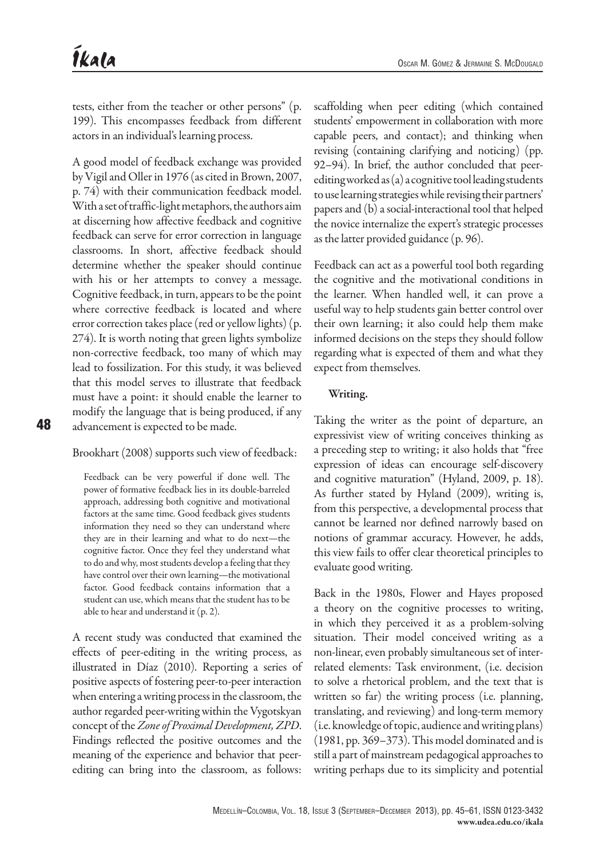tests, either from the teacher or other persons" (p. 199). This encompasses feedback from different actors in an individual's learning process.

A good model of feedback exchange was provided by Vigil and Oller in 1976 (as cited in Brown, 2007, p. 74) with their communication feedback model. With a set of traffic-light metaphors, the authors aim at discerning how affective feedback and cognitive feedback can serve for error correction in language classrooms. In short, affective feedback should determine whether the speaker should continue with his or her attempts to convey a message. Cognitive feedback, in turn, appears to be the point where corrective feedback is located and where error correction takes place (red or yellow lights) (p. 274). It is worth noting that green lights symbolize non-corrective feedback, too many of which may lead to fossilization. For this study, it was believed that this model serves to illustrate that feedback must have a point: it should enable the learner to modify the language that is being produced, if any advancement is expected to be made.

Brookhart (2008) supports such view of feedback:

Feedback can be very powerful if done well. The power of formative feedback lies in its double-barreled approach, addressing both cognitive and motivational factors at the same time. Good feedback gives students information they need so they can understand where they are in their learning and what to do next—the cognitive factor. Once they feel they understand what to do and why, most students develop a feeling that they have control over their own learning—the motivational factor. Good feedback contains information that a student can use, which means that the student has to be able to hear and understand it (p. 2).

A recent study was conducted that examined the effects of peer-editing in the writing process, as illustrated in Díaz (2010). Reporting a series of positive aspects of fostering peer-to-peer interaction when entering a writing process in the classroom, the author regarded peer-writing within the Vygotskyan concept of the *Zone of Proximal Development, ZPD*. Findings reflected the positive outcomes and the meaning of the experience and behavior that peerediting can bring into the classroom, as follows:

scaffolding when peer editing (which contained students' empowerment in collaboration with more capable peers, and contact); and thinking when revising (containing clarifying and noticing) (pp. 92–94). In brief, the author concluded that peerediting worked as (a) a cognitive tool leading students to use learning strategies while revising their partners' papers and (b) a social-interactional tool that helped the novice internalize the expert's strategic processes as the latter provided guidance (p. 96).

Feedback can act as a powerful tool both regarding the cognitive and the motivational conditions in the learner. When handled well, it can prove a useful way to help students gain better control over their own learning; it also could help them make informed decisions on the steps they should follow regarding what is expected of them and what they expect from themselves.

## Writing.

Taking the writer as the point of departure, an expressivist view of writing conceives thinking as a preceding step to writing; it also holds that "free expression of ideas can encourage self-discovery and cognitive maturation" (Hyland, 2009, p. 18). As further stated by Hyland (2009), writing is, from this perspective, a developmental process that cannot be learned nor defined narrowly based on notions of grammar accuracy. However, he adds, this view fails to offer clear theoretical principles to evaluate good writing.

Back in the 1980s, Flower and Hayes proposed a theory on the cognitive processes to writing, in which they perceived it as a problem-solving situation. Their model conceived writing as a non-linear, even probably simultaneous set of interrelated elements: Task environment, (i.e. decision to solve a rhetorical problem, and the text that is written so far) the writing process (i.e. planning, translating, and reviewing) and long-term memory (i.e. knowledge of topic, audience and writing plans) (1981, pp. 369–373). This model dominated and is still a part of mainstream pedagogical approaches to writing perhaps due to its simplicity and potential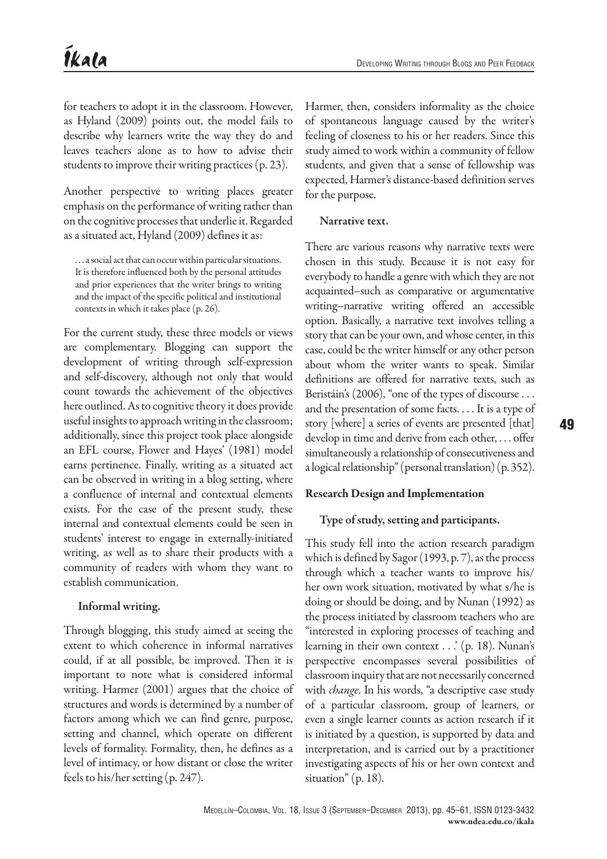for teachers to adopt it in the classroom. However, as Hyland (2009) points out, the model fails to describe why learners write the way they do and leaves teachers alone as to how to advise their students to improve their writing practices (p. 23).

Another perspective to writing places greater emphasis on the performance of writing rather than on the cognitive processes that underlie it. Regarded as a situated act, Hyland (2009) defines it as:

. . . a social act that can occur within particular situations. It is therefore influenced both by the personal attitudes and prior experiences that the writer brings to writing and the impact of the specific political and institutional contexts in which it takes place (p. 26).

For the current study, these three models or views are complementary. Blogging can support the development of writing through self-expression and self-discovery, although not only that would count towards the achievement of the objectives here outlined. As to cognitive theory it does provide useful insights to approach writing in the classroom; additionally, since this project took place alongside an EFL course, Flower and Hayes' (1981) model earns pertinence. Finally, writing as a situated act can be observed in writing in a blog setting, where a confluence of internal and contextual elements exists. For the case of the present study, these internal and contextual elements could be seen in students' interest to engage in externally-initiated writing, as well as to share their products with a community of readers with whom they want to establish communication.

# Informal writing.

Through blogging, this study aimed at seeing the extent to which coherence in informal narratives could, if at all possible, be improved. Then it is important to note what is considered informal writing. Harmer (2001) argues that the choice of structures and words is determined by a number of factors among which we can find genre, purpose, setting and channel, which operate on different levels of formality. Formality, then, he defines as a level of intimacy, or how distant or close the writer feels to his/her setting (p. 247).

Harmer, then, considers informality as the choice of spontaneous language caused by the writer's feeling of closeness to his or her readers. Since this study aimed to work within a community of fellow students, and given that a sense of fellowship was expected, Harmer's distance-based definition serves for the purpose.

# Narrative text.

There are various reasons why narrative texts were chosen in this study. Because it is not easy for everybody to handle a genre with which they are not acquainted–such as comparative or argumentative writing–narrative writing offered an accessible option. Basically, a narrative text involves telling a story that can be your own, and whose center, in this case, could be the writer himself or any other person about whom the writer wants to speak. Similar definitions are offered for narrative texts, such as Beristáin's (2006), "one of the types of discourse . . . and the presentation of some facts. . . . It is a type of story [where] a series of events are presented [that] develop in time and derive from each other, . . . offer simultaneously a relationship of consecutiveness and a logical relationship" (personal translation) (p. 352).

# Research Design and Implementation

# Type of study, setting and participants.

This study fell into the action research paradigm which is defined by Sagor (1993, p. 7), as the process through which a teacher wants to improve his/ her own work situation, motivated by what s/he is doing or should be doing, and by Nunan (1992) as the process initiated by classroom teachers who are "interested in exploring processes of teaching and learning in their own context . . .' (p. 18). Nunan's perspective encompasses several possibilities of classroom inquiry that are not necessarily concerned with *change*. In his words, "a descriptive case study of a particular classroom, group of learners, or even a single learner counts as action research if it is initiated by a question, is supported by data and interpretation, and is carried out by a practitioner investigating aspects of his or her own context and situation" (p. 18).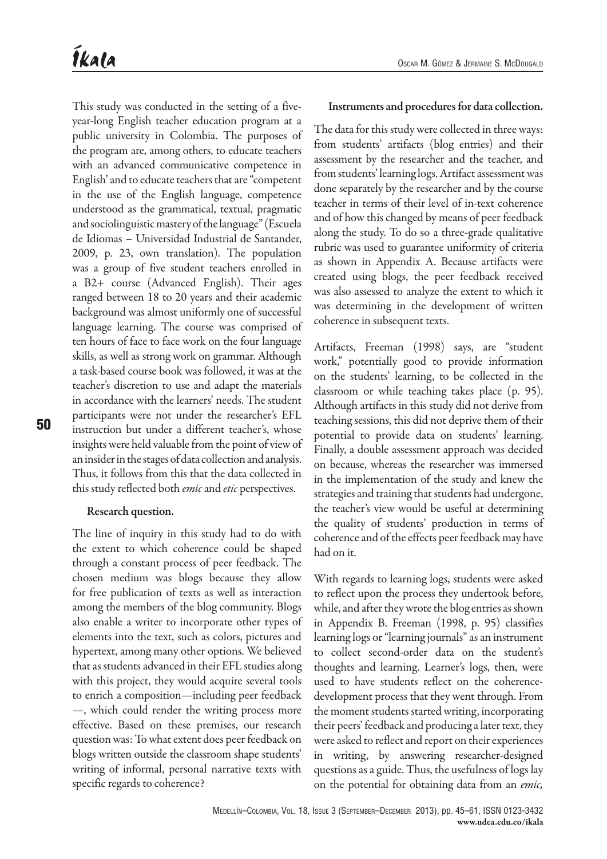This study was conducted in the setting of a fiveyear-long English teacher education program at a public university in Colombia. The purposes of the program are, among others, to educate teachers with an advanced communicative competence in English' and to educate teachers that are "competent in the use of the English language, competence understood as the grammatical, textual, pragmatic and sociolinguistic mastery of the language" (Escuela de Idiomas – Universidad Industrial de Santander, 2009, p. 23, own translation). The population was a group of five student teachers enrolled in a B2+ course (Advanced English). Their ages ranged between 18 to 20 years and their academic background was almost uniformly one of successful language learning. The course was comprised of ten hours of face to face work on the four language skills, as well as strong work on grammar. Although a task-based course book was followed, it was at the teacher's discretion to use and adapt the materials in accordance with the learners' needs. The student participants were not under the researcher's EFL instruction but under a different teacher's, whose insights were held valuable from the point of view of an insider in the stages of data collection and analysis. Thus, it follows from this that the data collected in this study reflected both *emic* and *etic* perspectives.

#### Research question.

The line of inquiry in this study had to do with the extent to which coherence could be shaped through a constant process of peer feedback. The chosen medium was blogs because they allow for free publication of texts as well as interaction among the members of the blog community. Blogs also enable a writer to incorporate other types of elements into the text, such as colors, pictures and hypertext, among many other options. We believed that as students advanced in their EFL studies along with this project, they would acquire several tools to enrich a composition—including peer feedback —, which could render the writing process more effective. Based on these premises, our research question was: To what extent does peer feedback on blogs written outside the classroom shape students' writing of informal, personal narrative texts with specific regards to coherence?

#### Instruments and procedures for data collection.

The data for this study were collected in three ways: from students' artifacts (blog entries) and their assessment by the researcher and the teacher, and from students' learning logs. Artifact assessment was done separately by the researcher and by the course teacher in terms of their level of in-text coherence and of how this changed by means of peer feedback along the study. To do so a three-grade qualitative rubric was used to guarantee uniformity of criteria as shown in Appendix A. Because artifacts were created using blogs, the peer feedback received was also assessed to analyze the extent to which it was determining in the development of written coherence in subsequent texts.

Artifacts, Freeman (1998) says, are "student work," potentially good to provide information on the students' learning, to be collected in the classroom or while teaching takes place (p. 95). Although artifacts in this study did not derive from teaching sessions, this did not deprive them of their potential to provide data on students' learning. Finally, a double assessment approach was decided on because, whereas the researcher was immersed in the implementation of the study and knew the strategies and training that students had undergone, the teacher's view would be useful at determining the quality of students' production in terms of coherence and of the effects peer feedback may have had on it.

With regards to learning logs, students were asked to reflect upon the process they undertook before, while, and after they wrote the blog entries as shown in Appendix B. Freeman (1998, p. 95) classifies learning logs or "learning journals" as an instrument to collect second-order data on the student's thoughts and learning. Learner's logs, then, were used to have students reflect on the coherencedevelopment process that they went through. From the moment students started writing, incorporating their peers' feedback and producing a later text, they were asked to reflect and report on their experiences in writing, by answering researcher-designed questions as a guide. Thus, the usefulness of logs lay on the potential for obtaining data from an *emic,*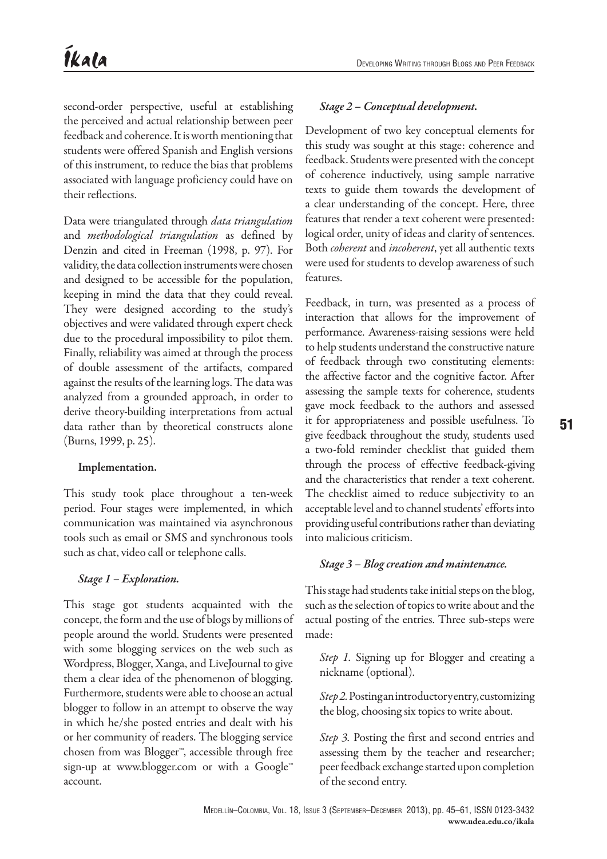second-order perspective, useful at establishing the perceived and actual relationship between peer feedback and coherence. It is worth mentioning that students were offered Spanish and English versions of this instrument, to reduce the bias that problems associated with language proficiency could have on their reflections.

Data were triangulated through *data triangulation* and *methodological triangulation* as defined by Denzin and cited in Freeman (1998, p. 97). For validity, the data collection instruments were chosen and designed to be accessible for the population, keeping in mind the data that they could reveal. They were designed according to the study's objectives and were validated through expert check due to the procedural impossibility to pilot them. Finally, reliability was aimed at through the process of double assessment of the artifacts, compared against the results of the learning logs. The data was analyzed from a grounded approach, in order to derive theory-building interpretations from actual data rather than by theoretical constructs alone (Burns, 1999, p. 25).

#### Implementation.

This study took place throughout a ten-week period. Four stages were implemented, in which communication was maintained via asynchronous tools such as email or SMS and synchronous tools such as chat, video call or telephone calls.

## *Stage 1 – Exploration.*

This stage got students acquainted with the concept, the form and the use of blogs by millions of people around the world. Students were presented with some blogging services on the web such as Wordpress, Blogger, Xanga, and LiveJournal to give them a clear idea of the phenomenon of blogging. Furthermore, students were able to choose an actual blogger to follow in an attempt to observe the way in which he/she posted entries and dealt with his or her community of readers. The blogging service chosen from was Blogger™, accessible through free sign-up at www.blogger.com or with a Google™ account.

## *Stage 2 – Conceptual development.*

Development of two key conceptual elements for this study was sought at this stage: coherence and feedback. Students were presented with the concept of coherence inductively, using sample narrative texts to guide them towards the development of a clear understanding of the concept. Here, three features that render a text coherent were presented: logical order, unity of ideas and clarity of sentences. Both *coherent* and *incoherent*, yet all authentic texts were used for students to develop awareness of such features.

Feedback, in turn, was presented as a process of interaction that allows for the improvement of performance. Awareness-raising sessions were held to help students understand the constructive nature of feedback through two constituting elements: the affective factor and the cognitive factor. After assessing the sample texts for coherence, students gave mock feedback to the authors and assessed it for appropriateness and possible usefulness. To give feedback throughout the study, students used a two-fold reminder checklist that guided them through the process of effective feedback-giving and the characteristics that render a text coherent. The checklist aimed to reduce subjectivity to an acceptable level and to channel students' efforts into providing useful contributions rather than deviating into malicious criticism.

## *Stage 3 – Blog creation and maintenance.*

This stage had students take initial steps on the blog, such as the selection of topics to write about and the actual posting of the entries. Three sub-steps were made:

*Step 1.* Signing up for Blogger and creating a nickname (optional).

Step 2. Posting an introductory entry, customizing the blog, choosing six topics to write about.

*Step 3.* Posting the first and second entries and assessing them by the teacher and researcher; peer feedback exchange started upon completion of the second entry.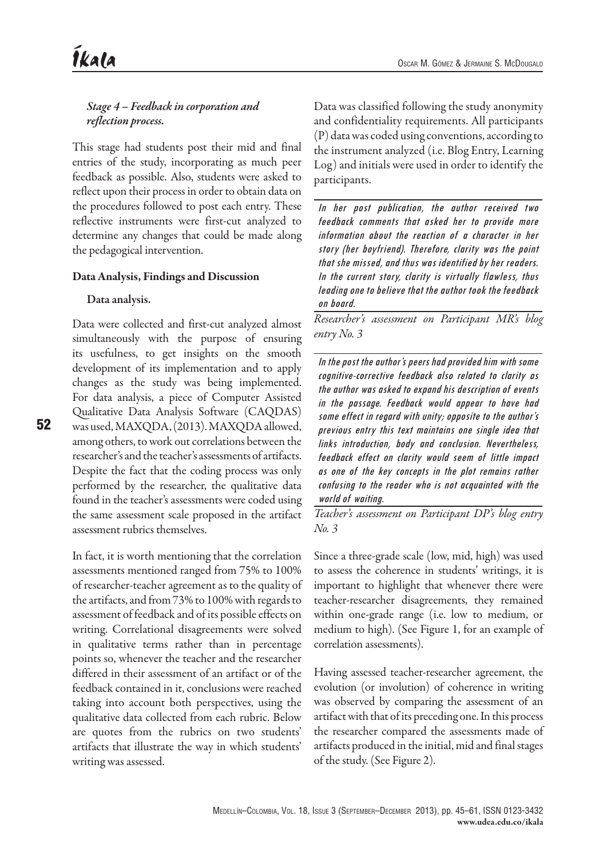*Stage 4 – Feedback in corporation and reflection process.*

This stage had students post their mid and final entries of the study, incorporating as much peer feedback as possible. Also, students were asked to reflect upon their process in order to obtain data on the procedures followed to post each entry. These reflective instruments were first-cut analyzed to determine any changes that could be made along the pedagogical intervention.

## Data Analysis, Findings and Discussion

## Data analysis.

Data were collected and first-cut analyzed almost simultaneously with the purpose of ensuring its usefulness, to get insights on the smooth development of its implementation and to apply changes as the study was being implemented. For data analysis, a piece of Computer Assisted Qualitative Data Analysis Software (CAQDAS) was used, MAXQDA, (2013). MAXQDA allowed, among others, to work out correlations between the researcher's and the teacher's assessments of artifacts. Despite the fact that the coding process was only performed by the researcher, the qualitative data found in the teacher's assessments were coded using the same assessment scale proposed in the artifact assessment rubrics themselves.

In fact, it is worth mentioning that the correlation assessments mentioned ranged from 75% to 100% of researcher-teacher agreement as to the quality of the artifacts, and from 73% to 100% with regards to assessment of feedback and of its possible effects on writing. Correlational disagreements were solved in qualitative terms rather than in percentage points so, whenever the teacher and the researcher differed in their assessment of an artifact or of the feedback contained in it, conclusions were reached taking into account both perspectives, using the qualitative data collected from each rubric. Below are quotes from the rubrics on two students' artifacts that illustrate the way in which students' writing was assessed.

Data was classified following the study anonymity and confidentiality requirements. All participants (P) data was coded using conventions, according to the instrument analyzed (i.e. Blog Entry, Learning Log) and initials were used in order to identify the participants.

In her post publication, the author received two feedback comments that asked her to provide more information about the reaction of a character in her story (her boyfriend). Therefore, clarity was the point that she missed, and thus was identified by her readers. In the current story, clarity is virtually flawless, thus leading one to believe that the author took the feedback on board.

*Researcher's assessment on Participant MR's blog entry No. 3*

In the post the author's peers had provided him with some cognitive-corrective feedback also related to clarity as the author was asked to expand his description of events in the passage. Feedback would appear to have had some effect in regard with unity; opposite to the author's previous entry this text maintains one single idea that links introduction, body and conclusion. Nevertheless, feedback effect on clarity would seem of little impact as one of the key concepts in the plot remains rather confusing to the reader who is not acquainted with the world of waiting.

*Teacher's assessment on Participant DP's blog entry No. 3*

Since a three-grade scale (low, mid, high) was used to assess the coherence in students' writings, it is important to highlight that whenever there were teacher-researcher disagreements, they remained within one-grade range (i.e. low to medium, or medium to high). (See Figure 1, for an example of correlation assessments).

Having assessed teacher-researcher agreement, the evolution (or involution) of coherence in writing was observed by comparing the assessment of an artifact with that of its preceding one. In this process the researcher compared the assessments made of artifacts produced in the initial, mid and final stages of the study. (See Figure 2).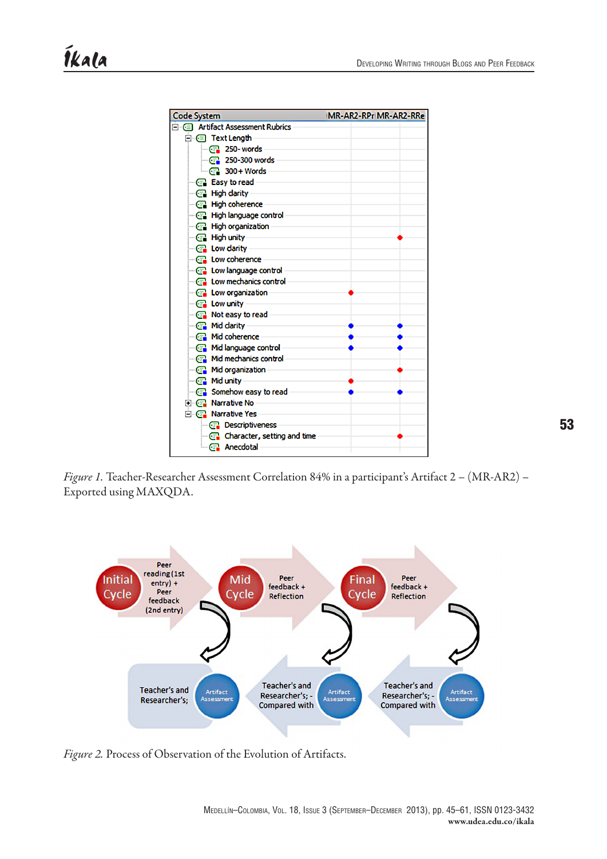

*Figure 1.* Teacher-Researcher Assessment Correlation 84% in a participant's Artifact 2 – (MR-AR2) – Exported using MAXQDA.



*Figure 2.* Process of Observation of the Evolution of Artifacts.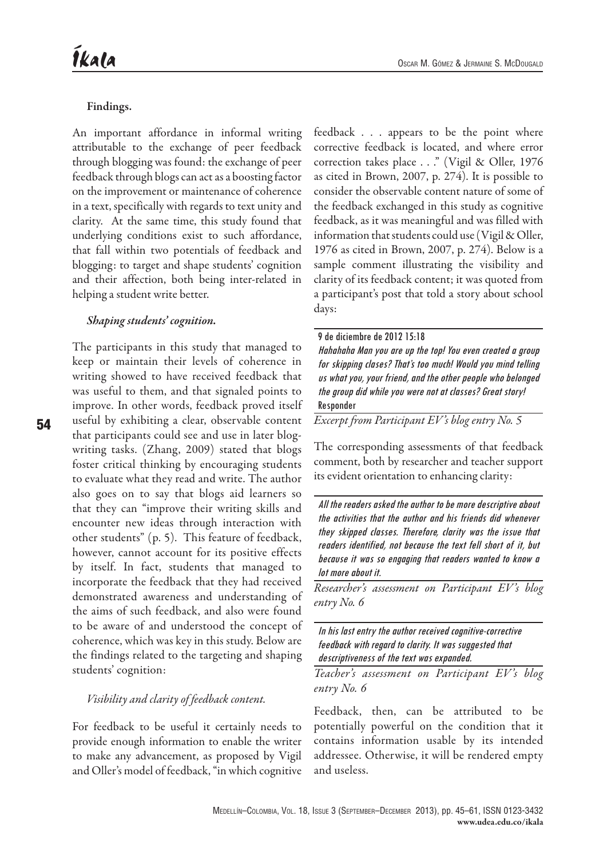54

#### Oscar M. Gómez & Jermaine S. McDougald

#### Findings.

An important affordance in informal writing attributable to the exchange of peer feedback through blogging was found: the exchange of peer feedback through blogs can act as a boosting factor on the improvement or maintenance of coherence in a text, specifically with regards to text unity and clarity. At the same time, this study found that underlying conditions exist to such affordance, that fall within two potentials of feedback and blogging: to target and shape students' cognition and their affection, both being inter-related in helping a student write better.

#### *Shaping students' cognition.*

The participants in this study that managed to keep or maintain their levels of coherence in writing showed to have received feedback that was useful to them, and that signaled points to improve. In other words, feedback proved itself useful by exhibiting a clear, observable content that participants could see and use in later blogwriting tasks. (Zhang, 2009) stated that blogs foster critical thinking by encouraging students to evaluate what they read and write. The author also goes on to say that blogs aid learners so that they can "improve their writing skills and encounter new ideas through interaction with other students" (p. 5). This feature of feedback, however, cannot account for its positive effects by itself. In fact, students that managed to incorporate the feedback that they had received demonstrated awareness and understanding of the aims of such feedback, and also were found to be aware of and understood the concept of coherence, which was key in this study. Below are the findings related to the targeting and shaping students' cognition:

## *Visibility and clarity of feedback content.*

For feedback to be useful it certainly needs to provide enough information to enable the writer to make any advancement, as proposed by Vigil and Oller's model of feedback, "in which cognitive

feedback . . . appears to be the point where corrective feedback is located, and where error correction takes place . . ." (Vigil & Oller, 1976 as cited in Brown, 2007, p. 274). It is possible to consider the observable content nature of some of the feedback exchanged in this study as cognitive feedback, as it was meaningful and was filled with information that students could use (Vigil & Oller, 1976 as cited in Brown, 2007, p. 274). Below is a sample comment illustrating the visibility and clarity of its feedback content; it was quoted from a participant's post that told a story about school days:

9 de diciembre de 2012 15:18 Hahahaha Man you are up the top! You even created a group for skipping clases? That's too much! Would you mind telling us what you, your friend, and the other people who belonged the group did while you were not at classes? Great story! Responder

*Excerpt from Participant EV's blog entry No. 5*

The corresponding assessments of that feedback comment, both by researcher and teacher support its evident orientation to enhancing clarity:

All the readers asked the author to be more descriptive about the activities that the author and his friends did whenever they skipped classes. Therefore, clarity was the issue that readers identified, not because the text fell short of it, but because it was so engaging that readers wanted to know a lot more about it.

*Researcher's assessment on Participant EV's blog entry No. 6*

In his last entry the author received cognitive-corrective feedback with regard to clarity. It was suggested that descriptiveness of the text was expanded.

*Teacher's assessment on Participant EV's blog entry No. 6*

Feedback, then, can be attributed to be potentially powerful on the condition that it contains information usable by its intended addressee. Otherwise, it will be rendered empty and useless.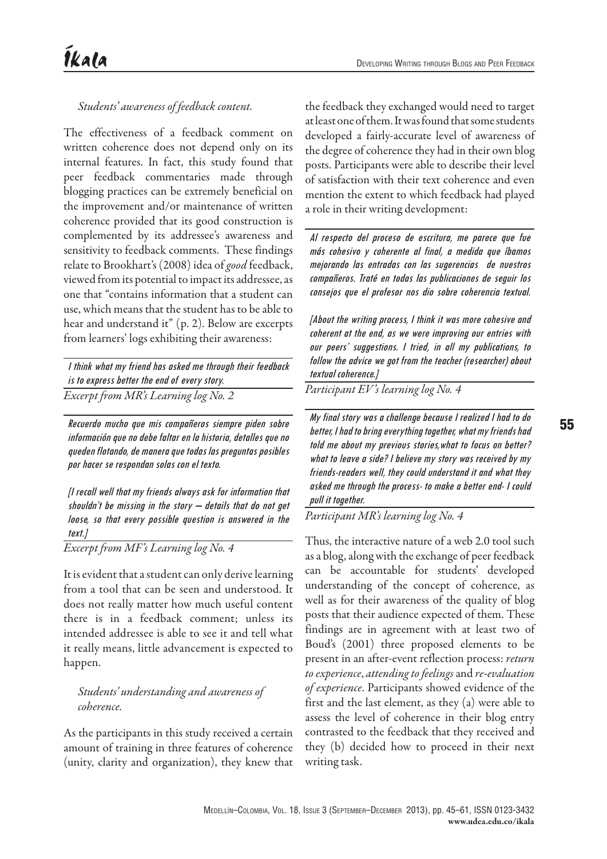## *Students' awareness of feedback content.*

The effectiveness of a feedback comment on written coherence does not depend only on its internal features. In fact, this study found that peer feedback commentaries made through blogging practices can be extremely beneficial on the improvement and/or maintenance of written coherence provided that its good construction is complemented by its addressee's awareness and sensitivity to feedback comments. These findings relate to Brookhart's (2008) idea of *good* feedback, viewed from its potential to impact its addressee, as one that "contains information that a student can use, which means that the student has to be able to hear and understand it" (p. 2). Below are excerpts from learners' logs exhibiting their awareness:

I think what my friend has asked me through their feedback is to express better the end of every story. *Excerpt from MR's Learning log No. 2*

Recuerdo mucho que mis compañeros siempre piden sobre información que no debe faltar en la historia, detalles que no queden flotando, de manera que todas las preguntas posibles por hacer se respondan solas con el texto.

[I recall well that my friends always ask for information that shouldn't be missing in the story  $-$  details that do not get loose, so that every possible question is answered in the text.]

*Excerpt from MF's Learning log No. 4*

It is evident that a student can only derive learning from a tool that can be seen and understood. It does not really matter how much useful content there is in a feedback comment; unless its intended addressee is able to see it and tell what it really means, little advancement is expected to happen.

# *Students' understanding and awareness of coherence.*

As the participants in this study received a certain amount of training in three features of coherence (unity, clarity and organization), they knew that

the feedback they exchanged would need to target at least one of them. It was found that some students developed a fairly-accurate level of awareness of the degree of coherence they had in their own blog posts. Participants were able to describe their level of satisfaction with their text coherence and even mention the extent to which feedback had played a role in their writing development:

Al respecto del proceso de escritura, me parece que fue más cohesivo y coherente al final, a medida que íbamos mejorando las entradas con las sugerencias de nuestros compañeros. Traté en todas las publicaciones de seguir los consejos que el profesor nos dio sobre coherencia textual.

[About the writing process, I think it was more cohesive and coherent at the end, as we were improving our entries with our peers' suggestions. I tried, in all my publications, to follow the advice we got from the teacher (researcher) about textual coherence.]

*Participant EV's learning log No. 4*

My final story was a challenge because I realized I had to do better, I had to bring everything together, what my friends had told me about my previous stories,what to focus on better? what to leave a side? I believe my story was received by my friends-readers well, they could understand it and what they asked me through the process- to make a better end- I could pull it together.

*Participant MR's learning log No. 4*

Thus, the interactive nature of a web 2.0 tool such as a blog, along with the exchange of peer feedback can be accountable for students' developed understanding of the concept of coherence, as well as for their awareness of the quality of blog posts that their audience expected of them. These findings are in agreement with at least two of Boud's (2001) three proposed elements to be present in an after-event reflection process: *return to experience*, *attending to feelings* and *re-evaluation of experience*. Participants showed evidence of the first and the last element, as they (a) were able to assess the level of coherence in their blog entry contrasted to the feedback that they received and they (b) decided how to proceed in their next writing task.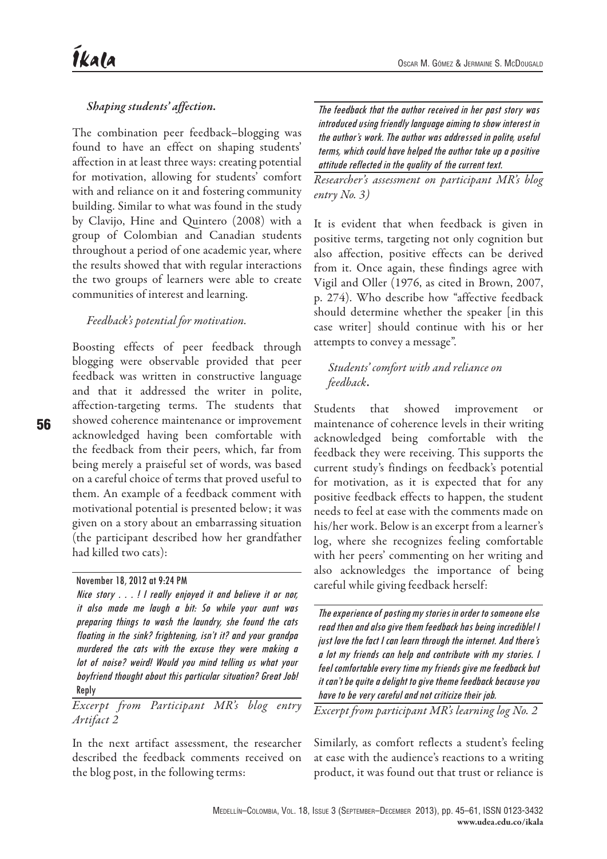# *Shaping students' affection.*

The combination peer feedback–blogging was found to have an effect on shaping students' affection in at least three ways: creating potential for motivation, allowing for students' comfort with and reliance on it and fostering community building. Similar to what was found in the study by Clavijo, Hine and Quintero (2008) with a group of Colombian and Canadian students throughout a period of one academic year, where the results showed that with regular interactions the two groups of learners were able to create communities of interest and learning.

## *Feedback's potential for motivation.*

Boosting effects of peer feedback through blogging were observable provided that peer feedback was written in constructive language and that it addressed the writer in polite, affection-targeting terms. The students that showed coherence maintenance or improvement acknowledged having been comfortable with the feedback from their peers, which, far from being merely a praiseful set of words, was based on a careful choice of terms that proved useful to them. An example of a feedback comment with motivational potential is presented below; it was given on a story about an embarrassing situation (the participant described how her grandfather had killed two cats):

#### November 18, 2012 at 9:24 PM

Nice story . . . ! I really enjoyed it and believe it or nor, it also made me laugh a bit: So while your aunt was preparing things to wash the laundry, she found the cats floating in the sink? frightening, isn't it? and your grandpa murdered the cats with the excuse they were making a lot of noise? weird! Would you mind telling us what your boyfriend thought about this particular situation? Great Job! Reply

*Excerpt from Participant MR's blog entry Artifact 2*

In the next artifact assessment, the researcher described the feedback comments received on the blog post, in the following terms:

The feedback that the author received in her past story was introduced using friendly language aiming to show interest in the author's work. The author was addressed in polite, useful terms, which could have helped the author take up a positive attitude reflected in the quality of the current text.

*Researcher's assessment on participant MR's blog entry No. 3)*

It is evident that when feedback is given in positive terms, targeting not only cognition but also affection, positive effects can be derived from it. Once again, these findings agree with Vigil and Oller (1976, as cited in Brown, 2007, p. 274). Who describe how "affective feedback should determine whether the speaker [in this case writer] should continue with his or her attempts to convey a message".

# *Students' comfort with and reliance on feedback*.

Students that showed improvement maintenance of coherence levels in their writing acknowledged being comfortable with the feedback they were receiving. This supports the current study's findings on feedback's potential for motivation, as it is expected that for any positive feedback effects to happen, the student needs to feel at ease with the comments made on his/her work. Below is an excerpt from a learner's log, where she recognizes feeling comfortable with her peers' commenting on her writing and also acknowledges the importance of being careful while giving feedback herself:

The experience of posting my stories in order to someone else read then and also give them feedback has being incredible! I just love the fact I can learn through the internet. And there's a lot my friends can help and contribute with my stories. I feel comfortable every time my friends give me feedback but it can't be quite a delight to give theme feedback because you have to be very careful and not criticize their job.

*Excerpt from participant MR's learning log No. 2*

Similarly, as comfort reflects a student's feeling at ease with the audience's reactions to a writing product, it was found out that trust or reliance is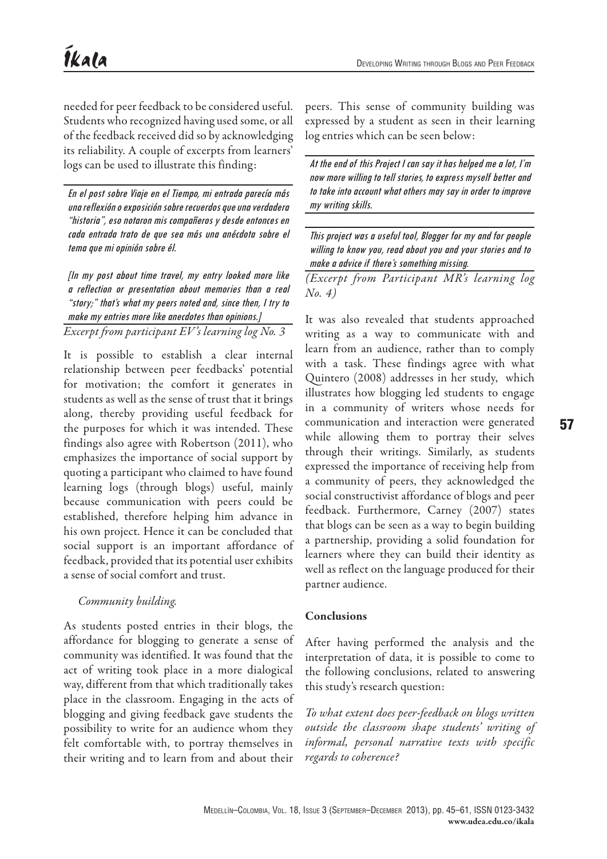needed for peer feedback to be considered useful. Students who recognized having used some, or all of the feedback received did so by acknowledging its reliability. A couple of excerpts from learners' logs can be used to illustrate this finding:

En el post sobre Viaje en el Tiempo, mi entrada parecía más una reflexión o exposición sobre recuerdos que una verdadera "historia", eso notaron mis compañeros y desde entonces en cada entrada trato de que sea más una anécdota sobre el tema que mi opinión sobre él.

[In my post about time travel, my entry looked more like a reflection or presentation about memories than a real "story;" that's what my peers noted and, since then, I try to make my entries more like anecdotes than opinions.] *Excerpt from participant EV's learning log No. 3*

It is possible to establish a clear internal relationship between peer feedbacks' potential for motivation; the comfort it generates in students as well as the sense of trust that it brings along, thereby providing useful feedback for the purposes for which it was intended. These findings also agree with Robertson (2011), who emphasizes the importance of social support by quoting a participant who claimed to have found learning logs (through blogs) useful, mainly because communication with peers could be established, therefore helping him advance in his own project. Hence it can be concluded that social support is an important affordance of feedback, provided that its potential user exhibits a sense of social comfort and trust.

# *Community building.*

As students posted entries in their blogs, the affordance for blogging to generate a sense of community was identified. It was found that the act of writing took place in a more dialogical way, different from that which traditionally takes place in the classroom. Engaging in the acts of blogging and giving feedback gave students the possibility to write for an audience whom they felt comfortable with, to portray themselves in their writing and to learn from and about their

peers. This sense of community building was expressed by a student as seen in their learning log entries which can be seen below:

At the end of this Project I can say it has helped me a lot, I'm now more willing to tell stories, to express myself better and to take into account what others may say in order to improve my writing skills.

This project was a useful tool, Blogger for my and for people willing to know you, read about you and your stories and to make a advice if there's something missing.

*(Excerpt from Participant MR's learning log No. 4)*

It was also revealed that students approached writing as a way to communicate with and learn from an audience, rather than to comply with a task. These findings agree with what Quintero (2008) addresses in her study, which illustrates how blogging led students to engage in a community of writers whose needs for communication and interaction were generated while allowing them to portray their selves through their writings. Similarly, as students expressed the importance of receiving help from a community of peers, they acknowledged the social constructivist affordance of blogs and peer feedback. Furthermore, Carney (2007) states that blogs can be seen as a way to begin building a partnership, providing a solid foundation for learners where they can build their identity as well as reflect on the language produced for their partner audience.

## Conclusions

After having performed the analysis and the interpretation of data, it is possible to come to the following conclusions, related to answering this study's research question:

*To what extent does peer-feedback on blogs written outside the classroom shape students' writing of informal, personal narrative texts with specific regards to coherence?*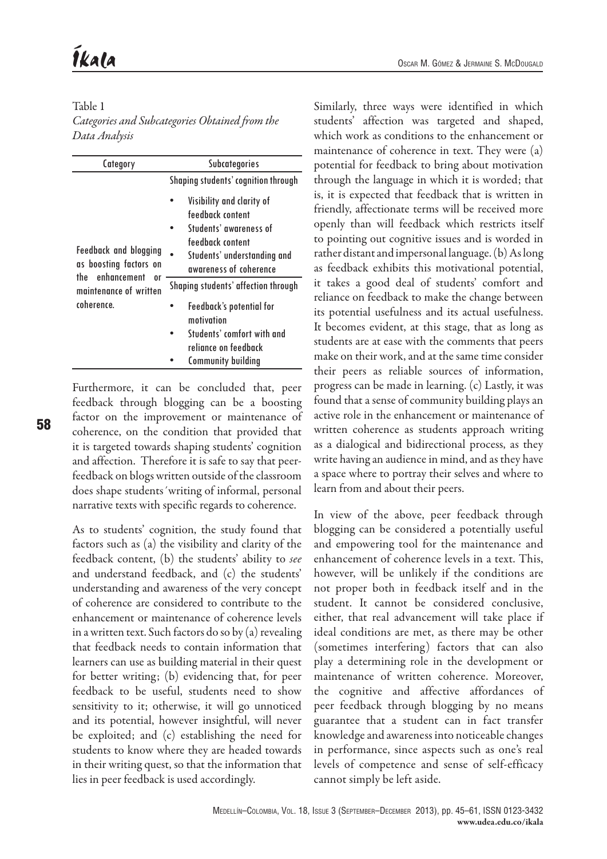# Table 1

*Categories and Subcategories Obtained from the Data Analysis*

| Category                                                                                                                   | <b>Subcategories</b>                                  |  |
|----------------------------------------------------------------------------------------------------------------------------|-------------------------------------------------------|--|
| <b>Feedback and blogging</b><br>as boosting factors on<br>enhancement<br>the<br>0ľ<br>maintenance of written<br>coherence. | Shaping students' cognition through                   |  |
|                                                                                                                            | Visibility and clarity of<br>feedback content         |  |
|                                                                                                                            | Students' awareness of                                |  |
|                                                                                                                            | feedback content                                      |  |
|                                                                                                                            | Students' understanding and<br>awareness of coherence |  |
|                                                                                                                            | Shaping students' affection through                   |  |
|                                                                                                                            | <b>Feedback's potential for</b><br>motivation         |  |
|                                                                                                                            | Students' comfort with and<br>reliance on feedback    |  |
|                                                                                                                            | <b>Community building</b>                             |  |

Furthermore, it can be concluded that, peer feedback through blogging can be a boosting factor on the improvement or maintenance of coherence, on the condition that provided that it is targeted towards shaping students' cognition and affection. Therefore it is safe to say that peerfeedback on blogs written outside of the classroom does shape students´writing of informal, personal narrative texts with specific regards to coherence.

As to students' cognition, the study found that factors such as (a) the visibility and clarity of the feedback content, (b) the students' ability to *see*  and understand feedback, and (c) the students' understanding and awareness of the very concept of coherence are considered to contribute to the enhancement or maintenance of coherence levels in a written text. Such factors do so by (a) revealing that feedback needs to contain information that learners can use as building material in their quest for better writing; (b) evidencing that, for peer feedback to be useful, students need to show sensitivity to it; otherwise, it will go unnoticed and its potential, however insightful, will never be exploited; and (c) establishing the need for students to know where they are headed towards in their writing quest, so that the information that lies in peer feedback is used accordingly.

Similarly, three ways were identified in which students' affection was targeted and shaped, which work as conditions to the enhancement or maintenance of coherence in text. They were (a) potential for feedback to bring about motivation through the language in which it is worded; that is, it is expected that feedback that is written in friendly, affectionate terms will be received more openly than will feedback which restricts itself to pointing out cognitive issues and is worded in rather distant and impersonal language. (b) As long as feedback exhibits this motivational potential, it takes a good deal of students' comfort and reliance on feedback to make the change between its potential usefulness and its actual usefulness. It becomes evident, at this stage, that as long as students are at ease with the comments that peers make on their work, and at the same time consider their peers as reliable sources of information, progress can be made in learning. (c) Lastly, it was found that a sense of community building plays an active role in the enhancement or maintenance of written coherence as students approach writing as a dialogical and bidirectional process, as they write having an audience in mind, and as they have a space where to portray their selves and where to learn from and about their peers.

In view of the above, peer feedback through blogging can be considered a potentially useful and empowering tool for the maintenance and enhancement of coherence levels in a text. This, however, will be unlikely if the conditions are not proper both in feedback itself and in the student. It cannot be considered conclusive, either, that real advancement will take place if ideal conditions are met, as there may be other (sometimes interfering) factors that can also play a determining role in the development or maintenance of written coherence. Moreover, the cognitive and affective affordances of peer feedback through blogging by no means guarantee that a student can in fact transfer knowledge and awareness into noticeable changes in performance, since aspects such as one's real levels of competence and sense of self-efficacy cannot simply be left aside.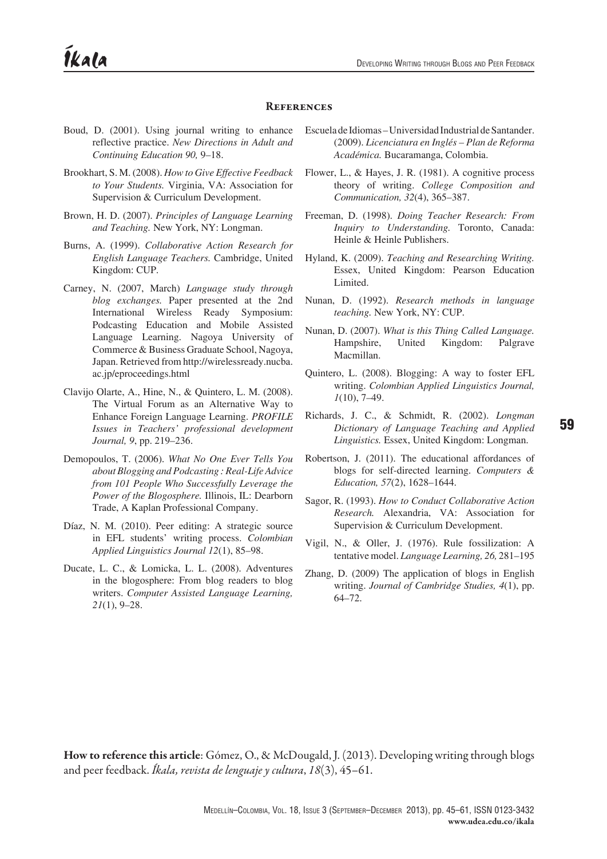#### **REFERENCES**

- Boud, D. (2001). Using journal writing to enhance reflective practice. *New Directions in Adult and Continuing Education 90,* 9–18.
- Brookhart, S. M. (2008). *How to Give Effective Feedback to Your Students.* Virginia, VA: Association for Supervision & Curriculum Development.
- Brown, H. D. (2007). *Principles of Language Learning and Teaching.* New York, NY: Longman.
- Burns, A. (1999). *Collaborative Action Research for English Language Teachers.* Cambridge, United Kingdom: CUP.
- Carney, N. (2007, March) *Language study through blog exchanges.* Paper presented at the 2nd International Wireless Ready Symposium: Podcasting Education and Mobile Assisted Language Learning. Nagoya University of Commerce & Business Graduate School, Nagoya, Japan. Retrieved from http://wirelessready.nucba. ac.jp/eproceedings.html
- Clavijo Olarte, A., Hine, N., & Quintero, L. M. (2008). The Virtual Forum as an Alternative Way to Enhance Foreign Language Learning. *PROFILE Issues in Teachers' professional development Journal, 9*, pp. 219–236.
- Demopoulos, T. (2006). *What No One Ever Tells You about Blogging and Podcasting : Real-Life Advice from 101 People Who Successfully Leverage the Power of the Blogosphere.* Illinois, IL: Dearborn Trade, A Kaplan Professional Company.
- Díaz, N. M. (2010). Peer editing: A strategic source in EFL students' writing process. *Colombian Applied Linguistics Journal 12*(1), 85–98.
- Ducate, L. C., & Lomicka, L. L. (2008). Adventures in the blogosphere: From blog readers to blog writers. *Computer Assisted Language Learning, 21*(1), 9–28.
- Escuela de Idiomas Universidad Industrial de Santander. (2009). *Licenciatura en Inglés – Plan de Reforma Académica.* Bucaramanga, Colombia.
- Flower, L., & Hayes, J. R. (1981). A cognitive process theory of writing. *College Composition and Communication, 32*(4), 365–387.
- Freeman, D. (1998). *Doing Teacher Research: From Inquiry to Understanding.* Toronto, Canada: Heinle & Heinle Publishers.
- Hyland, K. (2009). *Teaching and Researching Writing.*  Essex, United Kingdom: Pearson Education Limited.
- Nunan, D. (1992). *Research methods in language teaching.* New York, NY: CUP.
- Nunan, D. (2007). *What is this Thing Called Language.*  Hampshire, United Kingdom: Palgrave Macmillan.
- Quintero, L. (2008). Blogging: A way to foster EFL writing. *Colombian Applied Linguistics Journal, 1*(10), 7–49.
- Richards, J. C., & Schmidt, R. (2002). *Longman Dictionary of Language Teaching and Applied Linguistics.* Essex, United Kingdom: Longman.
- Robertson, J. (2011). The educational affordances of blogs for self-directed learning. *Computers & Education, 57*(2), 1628–1644.
- Sagor, R. (1993). *How to Conduct Collaborative Action Research.* Alexandria, VA: Association for Supervision & Curriculum Development.
- Vigil, N., & Oller, J. (1976). Rule fossilization: A tentative model. *Language Learning, 26,* 281–195
- Zhang, D. (2009) The application of blogs in English writing. *Journal of Cambridge Studies, 4*(1), pp. 64–72.

How to reference this article: Gómez, O., & McDougald, J. (2013). Developing writing through blogs and peer feedback. *Íkala, revista de lenguaje y cultura*, *18*(3), 45–61.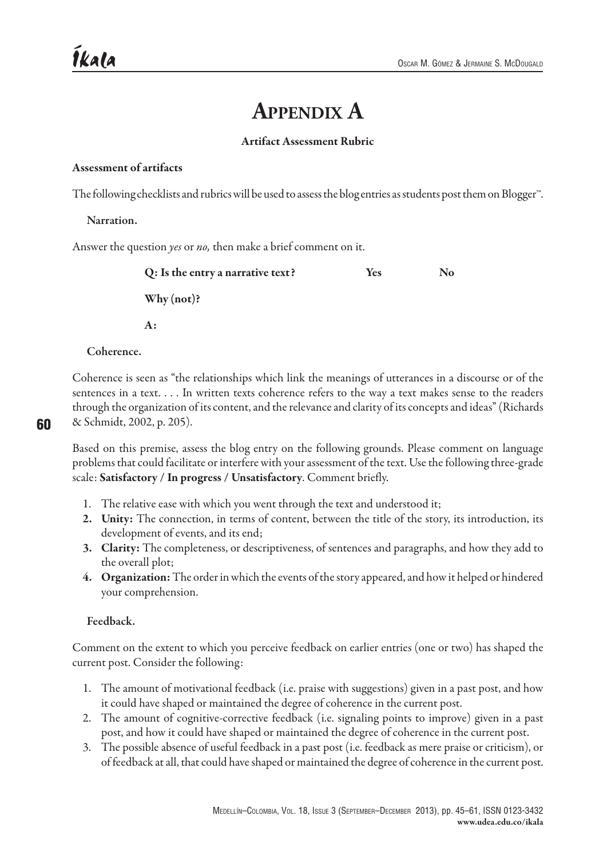# **Appendix A**

## Artifact Assessment Rubric

#### Assessment of artifacts

The following checklists and rubrics will be used to assess the blog entries as students post them on Blogger™.

#### Narration.

Answer the question *yes* or *no,* then make a brief comment on it.

| Q: Is the entry a narrative text? | <b>Yes</b> | No. |
|-----------------------------------|------------|-----|
| Why $(not)$ ?                     |            |     |
| A:                                |            |     |

#### Coherence.

Coherence is seen as "the relationships which link the meanings of utterances in a discourse or of the sentences in a text. . . . In written texts coherence refers to the way a text makes sense to the readers through the organization of its content, and the relevance and clarity of its concepts and ideas" (Richards & Schmidt, 2002, p. 205).

Based on this premise, assess the blog entry on the following grounds. Please comment on language problems that could facilitate or interfere with your assessment of the text. Use the following three-grade scale: Satisfactory / In progress / Unsatisfactory. Comment briefly.

- 1. The relative ease with which you went through the text and understood it;
- 2. Unity: The connection, in terms of content, between the title of the story, its introduction, its development of events, and its end;
- 3. Clarity: The completeness, or descriptiveness, of sentences and paragraphs, and how they add to the overall plot;
- 4. Organization: The order in which the events of the story appeared, and how it helped or hindered your comprehension.

## Feedback.

Comment on the extent to which you perceive feedback on earlier entries (one or two) has shaped the current post. Consider the following:

- 1. The amount of motivational feedback (i.e. praise with suggestions) given in a past post, and how it could have shaped or maintained the degree of coherence in the current post.
- 2. The amount of cognitive-corrective feedback (i.e. signaling points to improve) given in a past post, and how it could have shaped or maintained the degree of coherence in the current post.
- 3. The possible absence of useful feedback in a past post (i.e. feedback as mere praise or criticism), or of feedback at all, that could have shaped or maintained the degree of coherence in the current post.

60